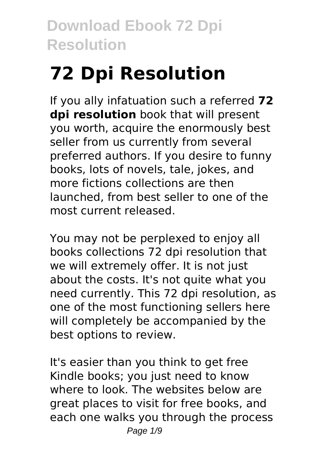# **72 Dpi Resolution**

If you ally infatuation such a referred **72 dpi resolution** book that will present you worth, acquire the enormously best seller from us currently from several preferred authors. If you desire to funny books, lots of novels, tale, jokes, and more fictions collections are then launched, from best seller to one of the most current released.

You may not be perplexed to enjoy all books collections 72 dpi resolution that we will extremely offer. It is not just about the costs. It's not quite what you need currently. This 72 dpi resolution, as one of the most functioning sellers here will completely be accompanied by the best options to review.

It's easier than you think to get free Kindle books; you just need to know where to look. The websites below are great places to visit for free books, and each one walks you through the process Page  $1/9$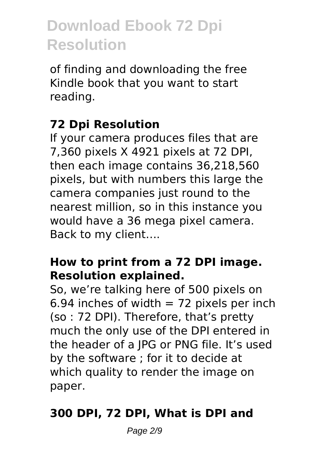of finding and downloading the free Kindle book that you want to start reading.

### **72 Dpi Resolution**

If your camera produces files that are 7,360 pixels X 4921 pixels at 72 DPI, then each image contains 36,218,560 pixels, but with numbers this large the camera companies just round to the nearest million, so in this instance you would have a 36 mega pixel camera. Back to my client….

#### **How to print from a 72 DPI image. Resolution explained.**

So, we're talking here of 500 pixels on 6.94 inches of width  $= 72$  pixels per inch (so : 72 DPI). Therefore, that's pretty much the only use of the DPI entered in the header of a JPG or PNG file. It's used by the software ; for it to decide at which quality to render the image on paper.

### **300 DPI, 72 DPI, What is DPI and**

Page 2/9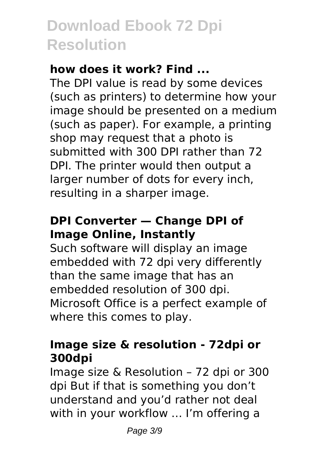#### **how does it work? Find ...**

The DPI value is read by some devices (such as printers) to determine how your image should be presented on a medium (such as paper). For example, a printing shop may request that a photo is submitted with 300 DPI rather than 72 DPI. The printer would then output a larger number of dots for every inch, resulting in a sharper image.

### **DPI Converter — Change DPI of Image Online, Instantly**

Such software will display an image embedded with 72 dpi very differently than the same image that has an embedded resolution of 300 dpi. Microsoft Office is a perfect example of where this comes to play.

#### **Image size & resolution - 72dpi or 300dpi**

Image size & Resolution – 72 dpi or 300 dpi But if that is something you don't understand and you'd rather not deal with in your workflow ... I'm offering a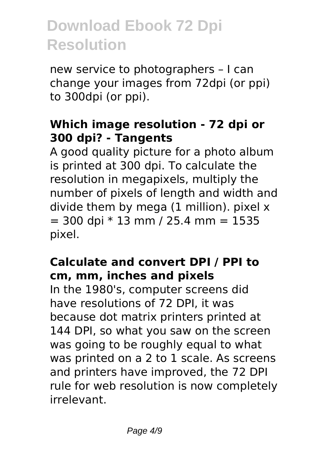new service to photographers – I can change your images from 72dpi (or ppi) to 300dpi (or ppi).

#### **Which image resolution - 72 dpi or 300 dpi? - Tangents**

A good quality picture for a photo album is printed at 300 dpi. To calculate the resolution in megapixels, multiply the number of pixels of length and width and divide them by mega (1 million). pixel x  $=$  300 dpi  $*$  13 mm / 25.4 mm = 1535 pixel.

### **Calculate and convert DPI / PPI to cm, mm, inches and pixels**

In the 1980's, computer screens did have resolutions of 72 DPI, it was because dot matrix printers printed at 144 DPI, so what you saw on the screen was going to be roughly equal to what was printed on a 2 to 1 scale. As screens and printers have improved, the 72 DPI rule for web resolution is now completely irrelevant.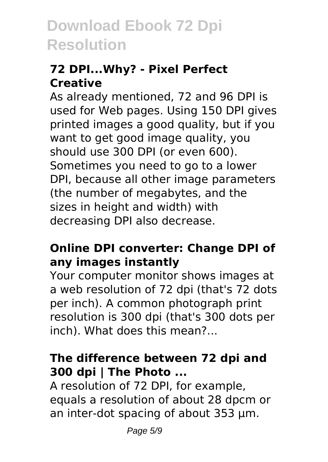### **72 DPI...Why? - Pixel Perfect Creative**

As already mentioned, 72 and 96 DPI is used for Web pages. Using 150 DPI gives printed images a good quality, but if you want to get good image quality, you should use 300 DPI (or even 600). Sometimes you need to go to a lower DPI, because all other image parameters (the number of megabytes, and the sizes in height and width) with decreasing DPI also decrease.

#### **Online DPI converter: Change DPI of any images instantly**

Your computer monitor shows images at a web resolution of 72 dpi (that's 72 dots per inch). A common photograph print resolution is 300 dpi (that's 300 dots per inch). What does this mean?...

#### **The difference between 72 dpi and 300 dpi | The Photo ...**

A resolution of 72 DPI, for example, equals a resolution of about 28 dpcm or an inter-dot spacing of about 353 µm.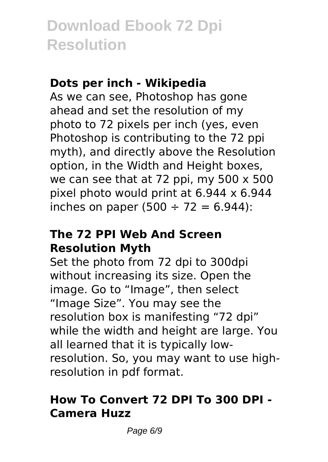#### **Dots per inch - Wikipedia**

As we can see, Photoshop has gone ahead and set the resolution of my photo to 72 pixels per inch (yes, even Photoshop is contributing to the 72 ppi myth), and directly above the Resolution option, in the Width and Height boxes, we can see that at 72 ppi, my 500 x 500 pixel photo would print at 6.944 x 6.944 inches on paper (500  $\div$  72 = 6.944):

#### **The 72 PPI Web And Screen Resolution Myth**

Set the photo from 72 dpi to 300dpi without increasing its size. Open the image. Go to "Image", then select "Image Size". You may see the resolution box is manifesting "72 dpi" while the width and height are large. You all learned that it is typically lowresolution. So, you may want to use highresolution in pdf format.

### **How To Convert 72 DPI To 300 DPI - Camera Huzz**

Page 6/9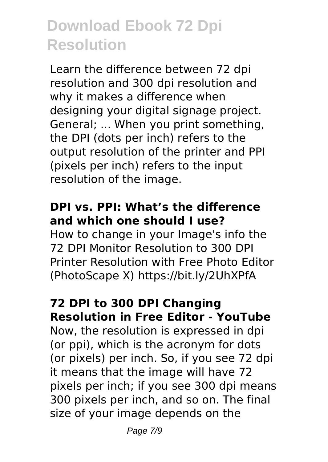Learn the difference between 72 dpi resolution and 300 dpi resolution and why it makes a difference when designing your digital signage project. General; ... When you print something, the DPI (dots per inch) refers to the output resolution of the printer and PPI (pixels per inch) refers to the input resolution of the image.

#### **DPI vs. PPI: What's the difference and which one should I use?**

How to change in your Image's info the 72 DPI Monitor Resolution to 300 DPI Printer Resolution with Free Photo Editor (PhotoScape X) https://bit.ly/2UhXPfA

#### **72 DPI to 300 DPI Changing Resolution in Free Editor - YouTube**

Now, the resolution is expressed in dpi (or ppi), which is the acronym for dots (or pixels) per inch. So, if you see 72 dpi it means that the image will have 72 pixels per inch; if you see 300 dpi means 300 pixels per inch, and so on. The final size of your image depends on the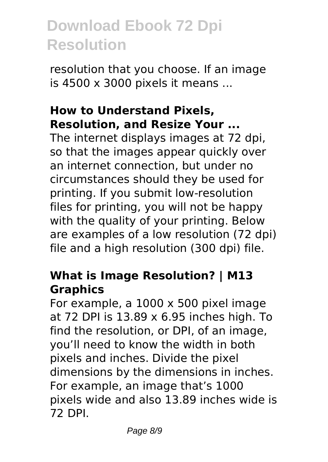resolution that you choose. If an image is 4500 x 3000 pixels it means ...

#### **How to Understand Pixels, Resolution, and Resize Your ...**

The internet displays images at 72 dpi, so that the images appear quickly over an internet connection, but under no circumstances should they be used for printing. If you submit low-resolution files for printing, you will not be happy with the quality of your printing. Below are examples of a low resolution (72 dpi) file and a high resolution (300 dpi) file.

#### **What is Image Resolution? | M13 Graphics**

For example, a 1000 x 500 pixel image at 72 DPI is 13.89 x 6.95 inches high. To find the resolution, or DPI, of an image, you'll need to know the width in both pixels and inches. Divide the pixel dimensions by the dimensions in inches. For example, an image that's 1000 pixels wide and also 13.89 inches wide is 72 DPI.